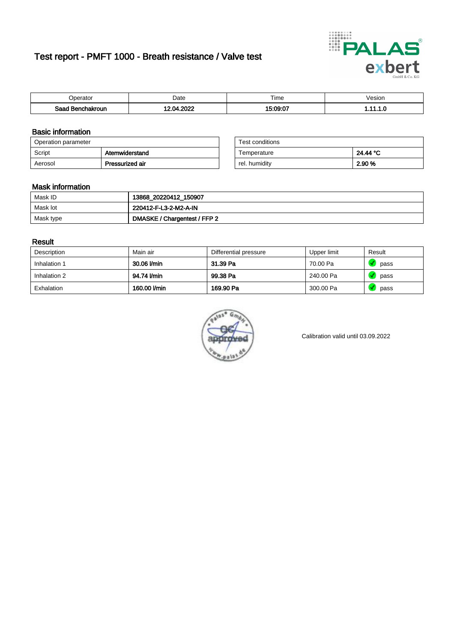# Test report - PMFT 1000 - Breath resistance / Valve test



| <b>'</b> perator                | Date       | $- \cdot$<br><b>Time</b> | /esion |
|---------------------------------|------------|--------------------------|--------|
| Saad<br><b>nchakroun</b><br>. . | onos<br>٦л | 5.09.07                  | .      |

### Basic information

| Operation parameter |                 | Test conditions |          |
|---------------------|-----------------|-----------------|----------|
| Script              | Atemwiderstand  | Temperature     | 24.44 °C |
| Aerosol             | Pressurized air | rel. humidity   | 2.90 %   |

| Test conditions |          |
|-----------------|----------|
| Temperature     | 24.44 °C |
| rel. humidity   | 2.90%    |

#### Mask information

| Mask ID   | 13868_20220412_150907        |
|-----------|------------------------------|
| Mask lot  | 220412-F-L3-2-M2-A-IN        |
| Mask type | DMASKE / Chargentest / FFP 2 |

### Result

| Description  | Main air     | Differential pressure | Upper limit | Result |
|--------------|--------------|-----------------------|-------------|--------|
| Inhalation 1 | 30.06 l/min  | 31.39 Pa              | 70.00 Pa    | pass   |
| Inhalation 2 | 94.74 l/min  | 99.38 Pa              | 240.00 Pa   | pass   |
| Exhalation   | 160.00 l/min | 169.90 Pa             | 300.00 Pa   | pass   |



Calibration valid until 03.09.2022